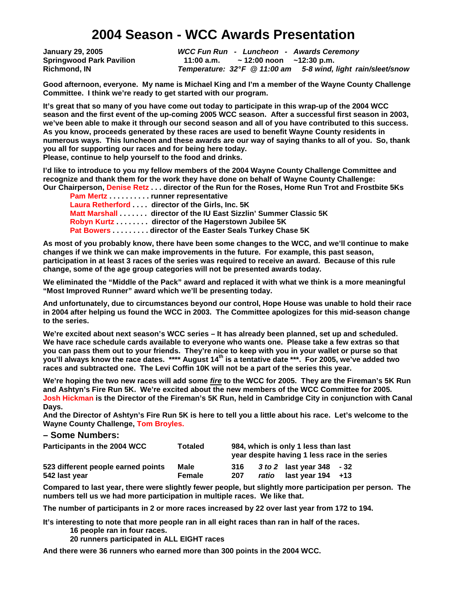# **2004 Season - WCC Awards Presentation**

**January 29, 2005 WCC Fun Run - Luncheon - Awards Ceremony Springwood Park Pavilion 11:00 a.m. ~ 12:00 noon ~12:30 p.m. Richmond, IN Temperature: 32° F @ 11:00 am 5-8 wind, light rain/sleet/snow** 

**Good afternoon, everyone. My name is Michael King and I'm a member of the Wayne County Challenge Committee. I think we're ready to get started with our program.** 

**It's great that so many of you have come out today to participate in this wrap-up of the 2004 WCC season and the first event of the up-coming 2005 WCC season. After a successful first season in 2003, we've been able to make it through our second season and all of you have contributed to this success. As you know, proceeds generated by these races are used to benefit Wayne County residents in numerous ways. This luncheon and these awards are our way of saying thanks to all of you. So, thank you all for supporting our races and for being here today.** 

**Please, continue to help yourself to the food and drinks.** 

**I'd like to introduce to you my fellow members of the 2004 Wayne County Challenge Committee and recognize and thank them for the work they have done on behalf of Wayne County Challenge: Our Chairperson, Denise Retz . . . director of the Run for the Roses, Home Run Trot and Frostbite 5Ks** 

**Pam Mertz . . . . . . . . . . runner representative Laura Retherford . . . . director of the Girls, Inc. 5K Matt Marshall . . . . . . . director of the IU East Sizzlin' Summer Classic 5K Robyn Kurtz . . . . . . . . director of the Hagerstown Jubilee 5K Pat Bowers . . . . . . . . . director of the Easter Seals Turkey Chase 5K** 

**As most of you probably know, there have been some changes to the WCC, and we'll continue to make changes if we think we can make improvements in the future. For example, this past season, participation in at least 3 races of the series was required to receive an award. Because of this rule change, some of the age group categories will not be presented awards today.** 

**We eliminated the "Middle of the Pack" award and replaced it with what we think is a more meaningful "Most Improved Runner" award which we'll be presenting today.** 

**And unfortunately, due to circumstances beyond our control, Hope House was unable to hold their race in 2004 after helping us found the WCC in 2003. The Committee apologizes for this mid-season change to the series.** 

**We're excited about next season's WCC series – It has already been planned, set up and scheduled. We have race schedule cards available to everyone who wants one. Please take a few extras so that you can pass them out to your friends. They're nice to keep with you in your wallet or purse so that you'll always know the race dates. \*\*\*\* August 14th is a tentative date \*\*\*. For 2005, we've added two races and subtracted one. The Levi Coffin 10K will not be a part of the series this year.** 

**We're hoping the two new races will add some fire to the WCC for 2005. They are the Fireman's 5K Run and Ashtyn's Fire Run 5K. We're excited about the new members of the WCC Committee for 2005. Josh Hickman is the Director of the Fireman's 5K Run, held in Cambridge City in conjunction with Canal Days.** 

**And the Director of Ashtyn's Fire Run 5K is here to tell you a little about his race. Let's welcome to the Wayne County Challenge, Tom Broyles.** 

#### **– Some Numbers:**

| Participants in the 2004 WCC       | Totaled | 984, which is only 1 less than last<br>year despite having 1 less race in the series |       |                           |  |  |
|------------------------------------|---------|--------------------------------------------------------------------------------------|-------|---------------------------|--|--|
| 523 different people earned points | Male    | 316                                                                                  |       | 3 to 2 last vear 348 - 32 |  |  |
| 542 last year                      | Female  | 207                                                                                  | ratio | last year $194 + 13$      |  |  |

**Compared to last year, there were slightly fewer people, but slightly more participation per person. The numbers tell us we had more participation in multiple races. We like that.** 

**The number of participants in 2 or more races increased by 22 over last year from 172 to 194.** 

**It's interesting to note that more people ran in all eight races than ran in half of the races.** 

- **16 people ran in four races.**
- **20 runners participated in ALL EIGHT races**

**And there were 36 runners who earned more than 300 points in the 2004 WCC.**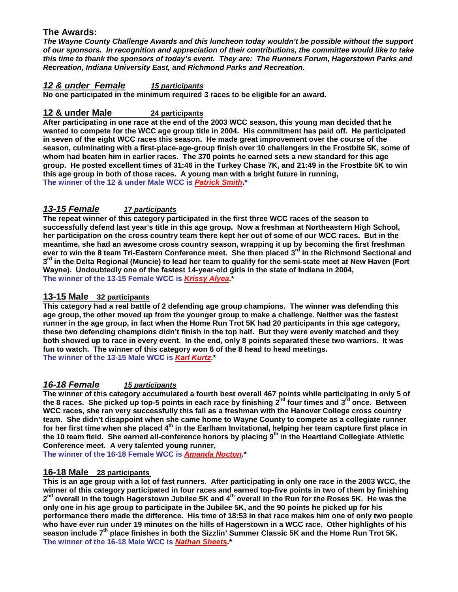# **The Awards:**

**The Wayne County Challenge Awards and this luncheon today wouldn't be possible without the support of our sponsors. In recognition and appreciation of their contributions, the committee would like to take this time to thank the sponsors of today's event. They are: The Runners Forum, Hagerstown Parks and Recreation, Indiana University East, and Richmond Parks and Recreation.** 

## **12 & under Female 15 participants**

**No one participated in the minimum required 3 races to be eligible for an award.** 

# **12 & under Male 24 participants**

**After participating in one race at the end of the 2003 WCC season, this young man decided that he wanted to compete for the WCC age group title in 2004. His commitment has paid off. He participated in seven of the eight WCC races this season. He made great improvement over the course of the season, culminating with a first-place-age-group finish over 10 challengers in the Frostbite 5K, some of whom had beaten him in earlier races. The 370 points he earned sets a new standard for this age group. He posted excellent times of 31:46 in the Turkey Chase 7K, and 21:49 in the Frostbite 5K to win this age group in both of those races. A young man with a bright future in running, The winner of the 12 & under Male WCC is Patrick Smith.\*** 

# **13-15 Female 17 participants**

**The repeat winner of this category participated in the first three WCC races of the season to successfully defend last year's title in this age group. Now a freshman at Northeastern High School, her participation on the cross country team there kept her out of some of our WCC races. But in the meantime, she had an awesome cross country season, wrapping it up by becoming the first freshman ever to win the 8 team Tri-Eastern Conference meet. She then placed 3rd in the Richmond Sectional and 3 rd in the Delta Regional (Muncie) to lead her team to qualify for the semi-state meet at New Haven (Fort Wayne). Undoubtedly one of the fastest 14-year-old girls in the state of Indiana in 2004, The winner of the 13-15 Female WCC is Krissy Alyea.\*** 

## **13-15 Male 32 participants**

**This category had a real battle of 2 defending age group champions. The winner was defending this age group, the other moved up from the younger group to make a challenge. Neither was the fastest runner in the age group, in fact when the Home Run Trot 5K had 20 participants in this age category, these two defending champions didn't finish in the top half. But they were evenly matched and they both showed up to race in every event. In the end, only 8 points separated these two warriors. It was fun to watch. The winner of this category won 6 of the 8 head to head meetings. The winner of the 13-15 Male WCC is Karl Kurtz.\*** 

## **16-18 Female 15 participants**

**The winner of this category accumulated a fourth best overall 467 points while participating in only 5 of the 8 races. She picked up top-5 points in each race by finishing 2nd four times and 3rd once. Between WCC races, she ran very successfully this fall as a freshman with the Hanover College cross country team. She didn't disappoint when she came home to Wayne County to compete as a collegiate runner for her first time when she placed 4th in the Earlham Invitational, helping her team capture first place in the 10 team field. She earned all-conference honors by placing 9th in the Heartland Collegiate Athletic Conference meet. A very talented young runner,** 

**The winner of the 16-18 Female WCC is Amanda Nocton.\*** 

## **16-18 Male 28 participants**

**This is an age group with a lot of fast runners. After participating in only one race in the 2003 WCC, the winner of this category participated in four races and earned top-five points in two of them by finishing 2 nd overall in the tough Hagerstown Jubilee 5K and 4th overall in the Run for the Roses 5K. He was the only one in his age group to participate in the Jubilee 5K, and the 90 points he picked up for his performance there made the difference. His time of 18:53 in that race makes him one of only two people who have ever run under 19 minutes on the hills of Hagerstown in a WCC race. Other highlights of his season include 7th place finishes in both the Sizzlin' Summer Classic 5K and the Home Run Trot 5K. The winner of the 16-18 Male WCC is Nathan Sheets.\***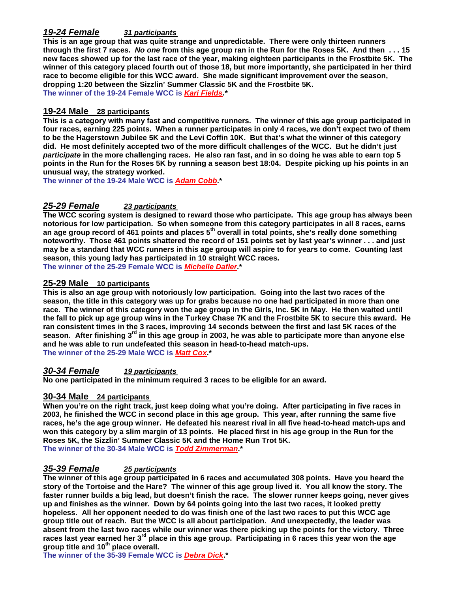# **19-24 Female 31 participants**

**This is an age group that was quite strange and unpredictable. There were only thirteen runners through the first 7 races. No one from this age group ran in the Run for the Roses 5K. And then . . . 15 new faces showed up for the last race of the year, making eighteen participants in the Frostbite 5K. The winner of this category placed fourth out of those 18, but more importantly, she participated in her third race to become eligible for this WCC award. She made significant improvement over the season, dropping 1:20 between the Sizzlin' Summer Classic 5K and the Frostbite 5K. The winner of the 19-24 Female WCC is Kari Fields.\*** 

#### **19-24 Male 28 participants**

**This is a category with many fast and competitive runners. The winner of this age group participated in four races, earning 225 points. When a runner participates in only 4 races, we don't expect two of them to be the Hagerstown Jubilee 5K and the Levi Coffin 10K. But that's what the winner of this category did. He most definitely accepted two of the more difficult challenges of the WCC. But he didn't just participate in the more challenging races. He also ran fast, and in so doing he was able to earn top 5 points in the Run for the Roses 5K by running a season best 18:04. Despite picking up his points in an unusual way, the strategy worked.** 

**The winner of the 19-24 Male WCC is Adam Cobb.\*** 

## **25-29 Female 23 participants**

**The WCC scoring system is designed to reward those who participate. This age group has always been notorious for low participation. So when someone from this category participates in all 8 races, earns an age group record of 461 points and places 5th overall in total points, she's really done something noteworthy. Those 461 points shattered the record of 151 points set by last year's winner . . . and just may be a standard that WCC runners in this age group will aspire to for years to come. Counting last season, this young lady has participated in 10 straight WCC races. The winner of the 25-29 Female WCC is Michelle Dafler.\*** 

#### **25-29 Male 10 participants**

**This is also an age group with notoriously low participation. Going into the last two races of the season, the title in this category was up for grabs because no one had participated in more than one race. The winner of this category won the age group in the Girls, Inc. 5K in May. He then waited until the fall to pick up age group wins in the Turkey Chase 7K and the Frostbite 5K to secure this award. He ran consistent times in the 3 races, improving 14 seconds between the first and last 5K races of the season. After finishing 3rd in this age group in 2003, he was able to participate more than anyone else and he was able to run undefeated this season in head-to-head match-ups. The winner of the 25-29 Male WCC is Matt Cox.\*** 

# **30-34 Female 19 participants**

**No one participated in the minimum required 3 races to be eligible for an award.** 

#### **30-34 Male 24 participants**

**When you're on the right track, just keep doing what you're doing. After participating in five races in 2003, he finished the WCC in second place in this age group. This year, after running the same five races, he's the age group winner. He defeated his nearest rival in all five head-to-head match-ups and won this category by a slim margin of 13 points. He placed first in his age group in the Run for the Roses 5K, the Sizzlin' Summer Classic 5K and the Home Run Trot 5K. The winner of the 30-34 Male WCC is Todd Zimmerman.\*** 

#### **35-39 Female 25 participants**

**The winner of this age group participated in 6 races and accumulated 308 points. Have you heard the story of the Tortoise and the Hare? The winner of this age group lived it. You all know the story. The faster runner builds a big lead, but doesn't finish the race. The slower runner keeps going, never gives up and finishes as the winner. Down by 64 points going into the last two races, it looked pretty hopeless. All her opponent needed to do was finish one of the last two races to put this WCC age group title out of reach. But the WCC is all about participation. And unexpectedly, the leader was absent from the last two races while our winner was there picking up the points for the victory. Three races last year earned her 3rd place in this age group. Participating in 6 races this year won the age group title and 10th place overall.** 

**The winner of the 35-39 Female WCC is Debra Dick.\***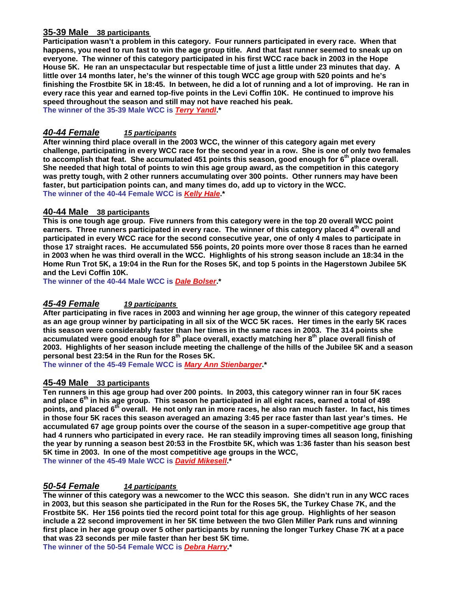#### **35-39 Male 38 participants**

**Participation wasn't a problem in this category. Four runners participated in every race. When that happens, you need to run fast to win the age group title. And that fast runner seemed to sneak up on everyone. The winner of this category participated in his first WCC race back in 2003 in the Hope House 5K. He ran an unspectacular but respectable time of just a little under 23 minutes that day. A little over 14 months later, he's the winner of this tough WCC age group with 520 points and he's finishing the Frostbite 5K in 18:45. In between, he did a lot of running and a lot of improving. He ran in every race this year and earned top-five points in the Levi Coffin 10K. He continued to improve his speed throughout the season and still may not have reached his peak.** 

**The winner of the 35-39 Male WCC is Terry Yandl.\*** 

#### **40-44 Female 15 participants**

**After winning third place overall in the 2003 WCC, the winner of this category again met every challenge, participating in every WCC race for the second year in a row. She is one of only two females to accomplish that feat. She accumulated 451 points this season, good enough for 6th place overall. She needed that high total of points to win this age group award, as the competition in this category was pretty tough, with 2 other runners accumulating over 300 points. Other runners may have been faster, but participation points can, and many times do, add up to victory in the WCC. The winner of the 40-44 Female WCC is Kelly Hale.\*** 

#### **40-44 Male 38 participants**

**This is one tough age group. Five runners from this category were in the top 20 overall WCC point earners. Three runners participated in every race. The winner of this category placed 4th overall and participated in every WCC race for the second consecutive year, one of only 4 males to participate in those 17 straight races. He accumulated 556 points, 20 points more over those 8 races than he earned in 2003 when he was third overall in the WCC. Highlights of his strong season include an 18:34 in the Home Run Trot 5K, a 19:04 in the Run for the Roses 5K, and top 5 points in the Hagerstown Jubilee 5K and the Levi Coffin 10K.** 

**The winner of the 40-44 Male WCC is Dale Bolser.\*** 

## **45-49 Female 19 participants**

**After participating in five races in 2003 and winning her age group, the winner of this category repeated as an age group winner by participating in all six of the WCC 5K races. Her times in the early 5K races this season were considerably faster than her times in the same races in 2003. The 314 points she accumulated were good enough for 8th place overall, exactly matching her 8th place overall finish of 2003. Highlights of her season include meeting the challenge of the hills of the Jubilee 5K and a season personal best 23:54 in the Run for the Roses 5K.** 

**The winner of the 45-49 Female WCC is Mary Ann Stienbarger.\*** 

#### **45-49 Male 33 participants**

**Ten runners in this age group had over 200 points. In 2003, this category winner ran in four 5K races and place 6th in his age group. This season he participated in all eight races, earned a total of 498 points, and placed 6th overall. He not only ran in more races, he also ran much faster. In fact, his times in those four 5K races this season averaged an amazing 3:45 per race faster than last year's times. He accumulated 67 age group points over the course of the season in a super-competitive age group that had 4 runners who participated in every race. He ran steadily improving times all season long, finishing the year by running a season best 20:53 in the Frostbite 5K, which was 1:36 faster than his season best 5K time in 2003. In one of the most competitive age groups in the WCC,** 

**The winner of the 45-49 Male WCC is David Mikesell.\*** 

## **50-54 Female 14 participants**

**The winner of this category was a newcomer to the WCC this season. She didn't run in any WCC races in 2003, but this season she participated in the Run for the Roses 5K, the Turkey Chase 7K, and the Frostbite 5K. Her 156 points tied the record point total for this age group. Highlights of her season include a 22 second improvement in her 5K time between the two Glen Miller Park runs and winning first place in her age group over 5 other participants by running the longer Turkey Chase 7K at a pace that was 23 seconds per mile faster than her best 5K time.** 

**The winner of the 50-54 Female WCC is Debra Harry.\***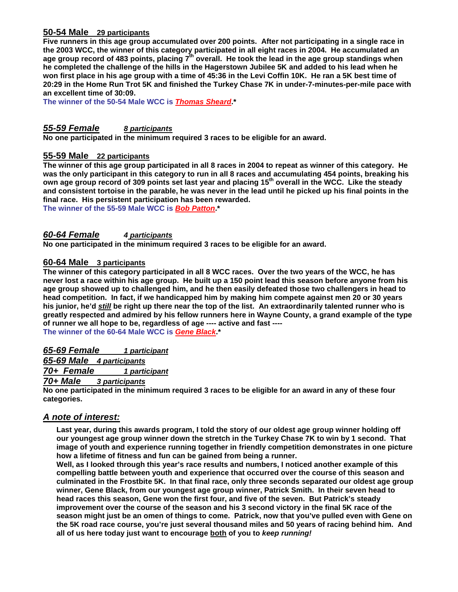## **50-54 Male 29 participants**

**Five runners in this age group accumulated over 200 points. After not participating in a single race in the 2003 WCC, the winner of this category participated in all eight races in 2004. He accumulated an age group record of 483 points, placing 7th overall. He took the lead in the age group standings when he completed the challenge of the hills in the Hagerstown Jubilee 5K and added to his lead when he won first place in his age group with a time of 45:36 in the Levi Coffin 10K. He ran a 5K best time of 20:29 in the Home Run Trot 5K and finished the Turkey Chase 7K in under-7-minutes-per-mile pace with an excellent time of 30:09.** 

**The winner of the 50-54 Male WCC is Thomas Sheard.\*** 

#### **55-59 Female 8 participants**

**No one participated in the minimum required 3 races to be eligible for an award.** 

#### **55-59 Male 22 participants**

**The winner of this age group participated in all 8 races in 2004 to repeat as winner of this category. He was the only participant in this category to run in all 8 races and accumulating 454 points, breaking his own age group record of 309 points set last year and placing 15th overall in the WCC. Like the steady and consistent tortoise in the parable, he was never in the lead until he picked up his final points in the final race. His persistent participation has been rewarded.** 

**The winner of the 55-59 Male WCC is Bob Patton.\*** 

#### **60-64 Female 4 participants**

**No one participated in the minimum required 3 races to be eligible for an award.** 

#### **60-64 Male 3 participants**

**The winner of this category participated in all 8 WCC races. Over the two years of the WCC, he has never lost a race within his age group. He built up a 150 point lead this season before anyone from his age group showed up to challenged him, and he then easily defeated those two challengers in head to head competition. In fact, if we handicapped him by making him compete against men 20 or 30 years his junior, he'd still be right up there near the top of the list. An extraordinarily talented runner who is greatly respected and admired by his fellow runners here in Wayne County, a grand example of the type of runner we all hope to be, regardless of age ---- active and fast ---- The winner of the 60-64 Male WCC is Gene Black.\*** 

**65-69 Female 1 participant**

**65-69 Male 4 participants**

**70+ Female 1 participant**

**70+ Male 3 participants**

**No one participated in the minimum required 3 races to be eligible for an award in any of these four categories.** 

## **A note of interest:**

**Last year, during this awards program, I told the story of our oldest age group winner holding off our youngest age group winner down the stretch in the Turkey Chase 7K to win by 1 second. That image of youth and experience running together in friendly competition demonstrates in one picture how a lifetime of fitness and fun can be gained from being a runner.** 

**Well, as I looked through this year's race results and numbers, I noticed another example of this compelling battle between youth and experience that occurred over the course of this season and culminated in the Frostbite 5K. In that final race, only three seconds separated our oldest age group winner, Gene Black, from our youngest age group winner, Patrick Smith. In their seven head to head races this season, Gene won the first four, and five of the seven. But Patrick's steady improvement over the course of the season and his 3 second victory in the final 5K race of the season might just be an omen of things to come. Patrick, now that you've pulled even with Gene on the 5K road race course, you're just several thousand miles and 50 years of racing behind him. And all of us here today just want to encourage both of you to keep running!**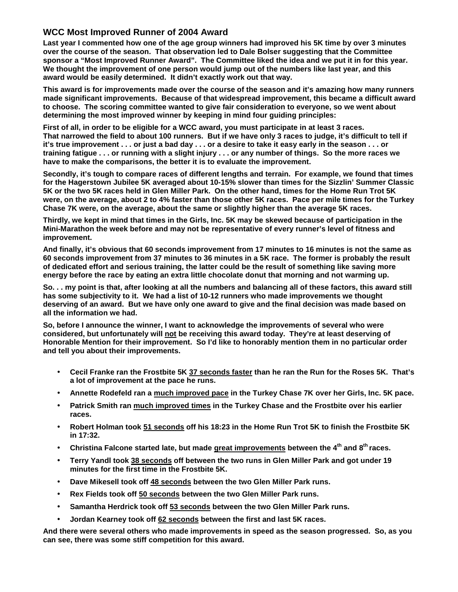# **WCC Most Improved Runner of 2004 Award**

**Last year I commented how one of the age group winners had improved his 5K time by over 3 minutes over the course of the season. That observation led to Dale Bolser suggesting that the Committee sponsor a "Most Improved Runner Award". The Committee liked the idea and we put it in for this year. We thought the improvement of one person would jump out of the numbers like last year, and this award would be easily determined. It didn't exactly work out that way.** 

**This award is for improvements made over the course of the season and it's amazing how many runners made significant improvements. Because of that widespread improvement, this became a difficult award to choose. The scoring committee wanted to give fair consideration to everyone, so we went about determining the most improved winner by keeping in mind four guiding principles:** 

**First of all, in order to be eligible for a WCC award, you must participate in at least 3 races. That narrowed the field to about 100 runners. But if we have only 3 races to judge, it's difficult to tell if it's true improvement . . . or just a bad day . . . or a desire to take it easy early in the season . . . or training fatigue . . . or running with a slight injury . . . or any number of things. So the more races we have to make the comparisons, the better it is to evaluate the improvement.** 

**Secondly, it's tough to compare races of different lengths and terrain. For example, we found that times for the Hagerstown Jubilee 5K averaged about 10-15% slower than times for the Sizzlin' Summer Classic 5K or the two 5K races held in Glen Miller Park. On the other hand, times for the Home Run Trot 5K were, on the average, about 2 to 4% faster than those other 5K races. Pace per mile times for the Turkey Chase 7K were, on the average, about the same or slightly higher than the average 5K races.** 

**Thirdly, we kept in mind that times in the Girls, Inc. 5K may be skewed because of participation in the Mini-Marathon the week before and may not be representative of every runner's level of fitness and improvement.** 

**And finally, it's obvious that 60 seconds improvement from 17 minutes to 16 minutes is not the same as 60 seconds improvement from 37 minutes to 36 minutes in a 5K race. The former is probably the result of dedicated effort and serious training, the latter could be the result of something like saving more energy before the race by eating an extra little chocolate donut that morning and not warming up.** 

**So. . . my point is that, after looking at all the numbers and balancing all of these factors, this award still has some subjectivity to it. We had a list of 10-12 runners who made improvements we thought deserving of an award. But we have only one award to give and the final decision was made based on all the information we had.** 

**So, before I announce the winner, I want to acknowledge the improvements of several who were considered, but unfortunately will not be receiving this award today. They're at least deserving of Honorable Mention for their improvement. So I'd like to honorably mention them in no particular order and tell you about their improvements.** 

- **Cecil Franke ran the Frostbite 5K 37 seconds faster than he ran the Run for the Roses 5K. That's a lot of improvement at the pace he runs.**
- **Annette Rodefeld ran a much improved pace in the Turkey Chase 7K over her Girls, Inc. 5K pace.**
- **Patrick Smith ran much improved times in the Turkey Chase and the Frostbite over his earlier races.**
- **Robert Holman took 51 seconds off his 18:23 in the Home Run Trot 5K to finish the Frostbite 5K in 17:32.**
- **Christina Falcone started late, but made great improvements between the 4th and 8th races.**
- **Terry Yandl took 38 seconds off between the two runs in Glen Miller Park and got under 19 minutes for the first time in the Frostbite 5K.**
- **Dave Mikesell took off 48 seconds between the two Glen Miller Park runs.**
- **Rex Fields took off 50 seconds between the two Glen Miller Park runs.**
- **Samantha Herdrick took off 53 seconds between the two Glen Miller Park runs.**
- **Jordan Kearney took off 62 seconds between the first and last 5K races.**

**And there were several others who made improvements in speed as the season progressed. So, as you can see, there was some stiff competition for this award.**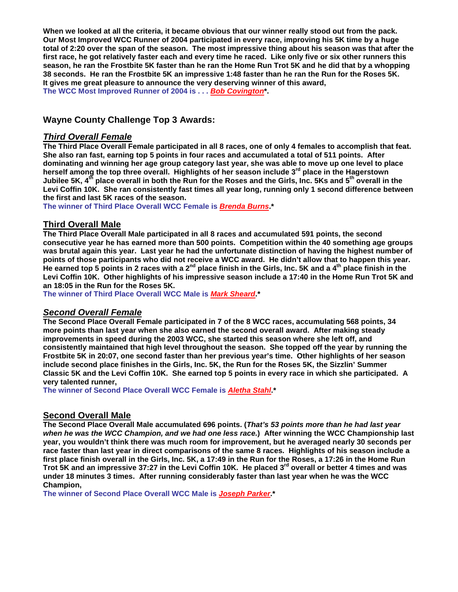**When we looked at all the criteria, it became obvious that our winner really stood out from the pack. Our Most Improved WCC Runner of 2004 participated in every race, improving his 5K time by a huge total of 2:20 over the span of the season. The most impressive thing about his season was that after the first race, he got relatively faster each and every time he raced. Like only five or six other runners this season, he ran the Frostbite 5K faster than he ran the Home Run Trot 5K and he did that by a whopping 38 seconds. He ran the Frostbite 5K an impressive 1:48 faster than he ran the Run for the Roses 5K. It gives me great pleasure to announce the very deserving winner of this award, The WCC Most Improved Runner of 2004 is . . . Bob Covington\*.** 

# **Wayne County Challenge Top 3 Awards:**

#### **Third Overall Female**

**The Third Place Overall Female participated in all 8 races, one of only 4 females to accomplish that feat. She also ran fast, earning top 5 points in four races and accumulated a total of 511 points. After dominating and winning her age group category last year, she was able to move up one level to place herself among the top three overall. Highlights of her season include 3rd place in the Hagerstown**   $^{\text{h}}$  place overall in both the Run for the Roses and the Girls, Inc. 5Ks and 5<sup>th</sup> overall in the **Levi Coffin 10K. She ran consistently fast times all year long, running only 1 second difference between the first and last 5K races of the season.** 

**The winner of Third Place Overall WCC Female is Brenda Burns.\*** 

#### **Third Overall Male**

**The Third Place Overall Male participated in all 8 races and accumulated 591 points, the second consecutive year he has earned more than 500 points. Competition within the 40 something age groups was brutal again this year. Last year he had the unfortunate distinction of having the highest number of points of those participants who did not receive a WCC award. He didn't allow that to happen this year. He earned top 5 points in 2 races with a 2nd place finish in the Girls, Inc. 5K and a 4th place finish in the Levi Coffin 10K. Other highlights of his impressive season include a 17:40 in the Home Run Trot 5K and an 18:05 in the Run for the Roses 5K.** 

**The winner of Third Place Overall WCC Male is Mark Sheard.\*** 

## **Second Overall Female**

**The Second Place Overall Female participated in 7 of the 8 WCC races, accumulating 568 points, 34 more points than last year when she also earned the second overall award. After making steady improvements in speed during the 2003 WCC, she started this season where she left off, and consistently maintained that high level throughout the season. She topped off the year by running the Frostbite 5K in 20:07, one second faster than her previous year's time. Other highlights of her season include second place finishes in the Girls, Inc. 5K, the Run for the Roses 5K, the Sizzlin' Summer Classic 5K and the Levi Coffin 10K. She earned top 5 points in every race in which she participated. A very talented runner,** 

**The winner of Second Place Overall WCC Female is Aletha Stahl.\*** 

## **Second Overall Male**

**The Second Place Overall Male accumulated 696 points. (That's 53 points more than he had last year when he was the WCC Champion, and we had one less race.) After winning the WCC Championship last year, you wouldn't think there was much room for improvement, but he averaged nearly 30 seconds per race faster than last year in direct comparisons of the same 8 races. Highlights of his season include a first place finish overall in the Girls, Inc. 5K, a 17:49 in the Run for the Roses, a 17:26 in the Home Run Trot 5K and an impressive 37:27 in the Levi Coffin 10K. He placed 3rd overall or better 4 times and was under 18 minutes 3 times. After running considerably faster than last year when he was the WCC Champion,** 

**The winner of Second Place Overall WCC Male is Joseph Parker.\***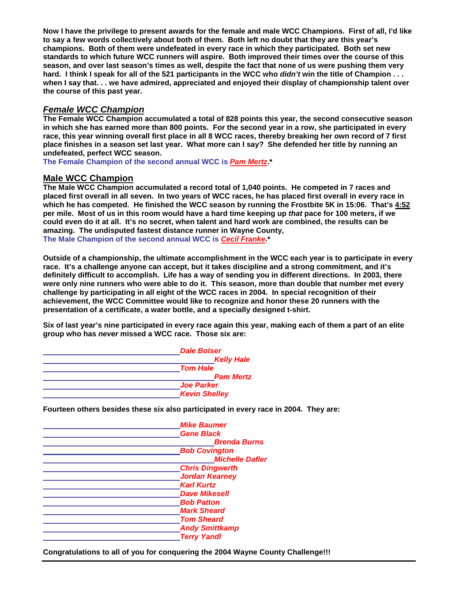**Now I have the privilege to present awards for the female and male WCC Champions. First of all, I'd like to say a few words collectively about both of them. Both left no doubt that they are this year's champions. Both of them were undefeated in every race in which they participated. Both set new standards to which future WCC runners will aspire. Both improved their times over the course of this season, and over last season's times as well, despite the fact that none of us were pushing them very hard. I think I speak for all of the 521 participants in the WCC who didn't win the title of Champion . . . when I say that. . . we have admired, appreciated and enjoyed their display of championship talent over the course of this past year.** 

#### **Female WCC Champion**

**The Female WCC Champion accumulated a total of 828 points this year, the second consecutive season in which she has earned more than 800 points. For the second year in a row, she participated in every race, this year winning overall first place in all 8 WCC races, thereby breaking her own record of 7 first place finishes in a season set last year. What more can I say? She defended her title by running an undefeated, perfect WCC season.** 

**The Female Champion of the second annual WCC is Pam Mertz.\*** 

#### **Male WCC Champion**

**The Male WCC Champion accumulated a record total of 1,040 points. He competed in 7 races and placed first overall in all seven. In two years of WCC races, he has placed first overall in every race in which he has competed. He finished the WCC season by running the Frostbite 5K in 15:06. That's 4:52 per mile. Most of us in this room would have a hard time keeping up that pace for 100 meters, if we could even do it at all. It's no secret, when talent and hard work are combined, the results can be amazing. The undisputed fastest distance runner in Wayne County, The Male Champion of the second annual WCC is Cecil Franke.\***

**Outside of a championship, the ultimate accomplishment in the WCC each year is to participate in every race. It's a challenge anyone can accept, but it takes discipline and a strong commitment, and it's definitely difficult to accomplish. Life has a way of sending you in different directions. In 2003, there were only nine runners who were able to do it. This season, more than double that number met every challenge by participating in all eight of the WCC races in 2004. In special recognition of their achievement, the WCC Committee would like to recognize and honor these 20 runners with the presentation of a certificate, a water bottle, and a specially designed t-shirt.** 

**Six of last year's nine participated in every race again this year, making each of them a part of an elite group who has never missed a WCC race. Those six are:** 



**Fourteen others besides these six also participated in every race in 2004. They are:** 

| <b>Mike Baumer</b>     |
|------------------------|
| <b>Gene Black</b>      |
| <b>Brenda Burns</b>    |
| <b>Bob Covington</b>   |
| <b>Michelle Dafler</b> |
| <b>Chris Dingwerth</b> |
| <b>Jordan Kearney</b>  |
| <b>Karl Kurtz</b>      |
| <b>Dave Mikesell</b>   |
| <b>Bob Patton</b>      |
| <b>Mark Sheard</b>     |
| <b>Tom Sheard</b>      |
| <b>Andy Smittkamp</b>  |
| <b>Terry Yandl</b>     |

**Congratulations to all of you for conquering the 2004 Wayne County Challenge!!!**